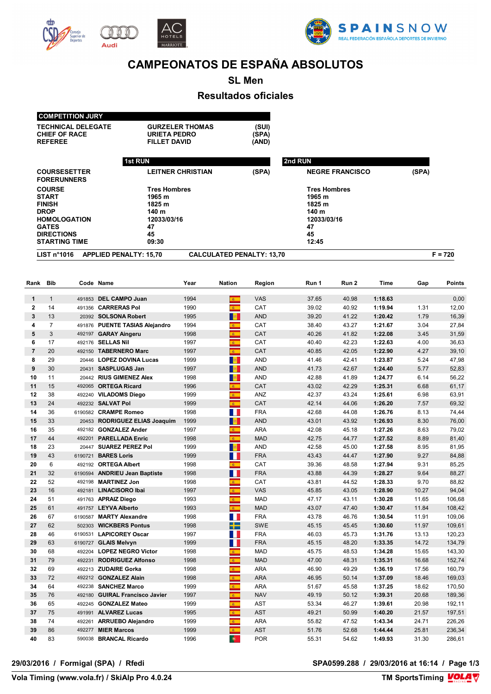





# **CAMPEONATOS DE ESPAÑA ABSOLUTOS**

## **SL Men Resultados oficiales**

### **COMPETITION JURY TECHNICAL DELEGATE GURZELER THOMAS (SUI)**

Audi

| LIST n <sup>°</sup> 1016 | <b>APPLIED PENALTY: 15,70</b>              | <b>CALCULATED PENALTY: 13,70</b> |                                   | $F = 720$ |
|--------------------------|--------------------------------------------|----------------------------------|-----------------------------------|-----------|
| <b>STARTING TIME</b>     | 09:30                                      |                                  | 12:45                             |           |
| <b>DIRECTIONS</b>        | 45                                         |                                  | 45                                |           |
| <b>GATES</b>             | 47                                         |                                  | 47                                |           |
| <b>HOMOLOGATION</b>      | 12033/03/16                                |                                  | 12033/03/16                       |           |
| <b>DROP</b>              | 140 m                                      |                                  | 140 m                             |           |
| <b>FINISH</b>            | 1825 m                                     |                                  | 1825 m                            |           |
| <b>START</b>             | 1965 m                                     |                                  | 1965 m                            |           |
| <b>COURSE</b>            | <b>Tres Hombres</b>                        |                                  | <b>Tres Hombres</b>               |           |
| <b>FORERUNNERS</b>       |                                            | (SPA)                            |                                   | (SPA)     |
| <b>COURSESETTER</b>      | <b>1st RUN</b><br><b>LEITNER CHRISTIAN</b> |                                  | 2nd RUN<br><b>NEGRE FRANCISCO</b> |           |
|                          |                                            |                                  |                                   |           |
| <b>REFEREE</b>           | <b>FILLET DAVID</b>                        | (AND)                            |                                   |           |
| <b>CHIEF OF RACE</b>     | <b>URIETA PEDRO</b>                        | (SPA)                            |                                   |           |

| Rank           | <b>Bib</b>     |         | Code Name                      | Year | <b>Nation</b>              | Region     | Run 1 | Run 2 | <b>Time</b> | Gap   | <b>Points</b> |
|----------------|----------------|---------|--------------------------------|------|----------------------------|------------|-------|-------|-------------|-------|---------------|
| $\mathbf{1}$   | $\mathbf{1}$   | 491853  | <b>DEL CAMPO Juan</b>          | 1994 | $\mathbf{g}$ .             | <b>VAS</b> | 37.65 | 40.98 | 1:18.63     |       | 0,00          |
| $\mathbf{2}$   | 14             |         | 491356 CARRERAS Pol            | 1990 | $\overline{a}$             | CAT        | 39.02 | 40.92 | 1:19.94     | 1.31  | 12,00         |
| 3              | 13             |         | 20392 SOLSONA Robert           | 1995 | $\mathbf{B}$               | <b>AND</b> | 39.20 | 41.22 | 1:20.42     | 1.79  | 16,39         |
| 4              | $\overline{7}$ |         | 491876 PUENTE TASIAS Alejandro | 1994 | $\overline{a}$             | CAT        | 38.40 | 43.27 | 1:21.67     | 3.04  | 27,84         |
| 5              | 3              |         | 492197 GARAY Aingeru           | 1998 | $\overline{\mathbf{a}}$    | CAT        | 40.26 | 41.82 | 1:22.08     | 3.45  | 31,59         |
| 6              | 17             |         | 492176 SELLAS Nil              | 1997 | $\mathbf{g}$               | CAT        | 40.40 | 42.23 | 1:22.63     | 4.00  | 36,63         |
| $\overline{7}$ | 20             | 492150  | <b>TABERNERO Marc</b>          | 1997 | $\overline{a}$             | <b>CAT</b> | 40.85 | 42.05 | 1:22.90     | 4.27  | 39,10         |
| 8              | 29             | 20446   | <b>LOPEZ DOVINA Lucas</b>      | 1999 | <b>B</b>                   | <b>AND</b> | 41.46 | 42.41 | 1:23.87     | 5.24  | 47,98         |
| 9              | 30             | 20431   | <b>SASPLUGAS Jan</b>           | 1997 | $\frac{1}{2}$              | <b>AND</b> | 41.73 | 42.67 | 1:24.40     | 5.77  | 52,83         |
| 10             | 11             |         | 20442 RIUS GIMENEZ Alex        | 1998 | <b>B</b>                   | <b>AND</b> | 42.88 | 41.89 | 1:24.77     | 6.14  | 56,22         |
| 11             | 15             | 492065  | <b>ORTEGA Ricard</b>           | 1996 | $\overline{a}$             | CAT        | 43.02 | 42.29 | 1:25.31     | 6.68  | 61,17         |
| 12             | 38             |         | 492240 VILADOMS Diego          | 1999 | $\overline{\mathbf{a}}$    | ANZ        | 42.37 | 43.24 | 1:25.61     | 6.98  | 63,91         |
| 13             | 24             |         | 492232 SALVAT Pol              | 1999 | $\overline{\mathbf{a}}$    | CAT        | 42.14 | 44.06 | 1:26.20     | 7.57  | 69,32         |
| 14             | 36             |         | 6190582 CRAMPE Romeo           | 1998 | M.                         | <b>FRA</b> | 42.68 | 44.08 | 1:26.76     | 8.13  | 74,44         |
| 15             | 33             | 20453   | <b>RODRIGUEZ ELIAS Joaquim</b> | 1999 | <b>B</b>                   | <b>AND</b> | 43.01 | 43.92 | 1:26.93     | 8.30  | 76,00         |
| 16             | 35             |         | 492182 GONZALEZ Ander          | 1997 | $\overline{a}$             | <b>ARA</b> | 42.08 | 45.18 | 1:27.26     | 8.63  | 79,02         |
| 17             | 44             | 492201  | <b>PARELLADA Enric</b>         | 1998 | $\mathbf{g}$ .             | <b>MAD</b> | 42.75 | 44.77 | 1:27.52     | 8.89  | 81,40         |
| 18             | 23             | 20447   | <b>SUAREZ PEREZ Pol</b>        | 1999 | $\frac{1}{2}$              | <b>AND</b> | 42.58 | 45.00 | 1:27.58     | 8.95  | 81,95         |
| 19             | 43             | 6190721 | <b>BARES Loris</b>             | 1999 | M.                         | <b>FRA</b> | 43.43 | 44.47 | 1:27.90     | 9.27  | 84,88         |
| 20             | 6              |         | 492192 ORTEGA Albert           | 1998 | $\mathbf{A}$               | CAT        | 39.36 | 48.58 | 1:27.94     | 9.31  | 85,25         |
| 21             | 32             |         | 6190594 ANDRIEU Jean Baptiste  | 1998 | H.                         | <b>FRA</b> | 43.88 | 44.39 | 1:28.27     | 9.64  | 88,27         |
| 22             | 52             | 492198  | <b>MARTINEZ Jon</b>            | 1998 | $\mathbf{g}$ .             | CAT        | 43.81 | 44.52 | 1:28.33     | 9.70  | 88,82         |
| 23             | 16             | 492181  | <b>LINACISORO Ibai</b>         | 1997 | $\mathbf{z}$               | <b>VAS</b> | 45.85 | 43.05 | 1:28.90     | 10.27 | 94,04         |
| 24             | 51             |         | 491763 APRAIZ Diego            | 1993 | <b>B</b>                   | <b>MAD</b> | 47.17 | 43.11 | 1:30.28     | 11.65 | 106,68        |
| 25             | 61             |         | 491757 LEYVA Alberto           | 1993 | $\overline{\mathbf{a}}$    | <b>MAD</b> | 43.07 | 47.40 | 1:30.47     | 11.84 | 108,42        |
| 26             | 67             |         | 6190587 MARTY Alexandre        | 1998 | M.                         | <b>FRA</b> | 43.78 | 46.76 | 1:30.54     | 11.91 | 109,06        |
| 27             | 62             | 502303  | <b>WICKBERS Pontus</b>         | 1998 | ╈═                         | <b>SWE</b> | 45.15 | 45.45 | 1:30.60     | 11.97 | 109,61        |
| 28             | 46             |         | 6190531 LAPICOREY Oscar        | 1997 | w                          | <b>FRA</b> | 46.03 | 45.73 | 1:31.76     | 13.13 | 120,23        |
| 29             | 63             |         | 6190727 GLAIS Melvyn           | 1999 | H                          | <b>FRA</b> | 45.15 | 48.20 | 1:33.35     | 14.72 | 134,79        |
| 30             | 68             |         | 492204 LOPEZ NEGRO Victor      | 1998 | $\overline{\mathbf{a}}$    | <b>MAD</b> | 45.75 | 48.53 | 1:34.28     | 15.65 | 143,30        |
| 31             | 79             | 492231  | <b>RODRIGUEZ Alfonso</b>       | 1998 | $\mathbf{g}$ .             | <b>MAD</b> | 47.00 | 48.31 | 1:35.31     | 16.68 | 152,74        |
| 32             | 69             |         | 492213 ZUDAIRE Gorka           | 1998 | $\overline{\mathbf{a}}$    | <b>ARA</b> | 46.90 | 49.29 | 1:36.19     | 17.56 | 160,79        |
| 33             | 72             |         | 492212 GONZALEZ Alain          | 1998 | $\overline{a}$             | <b>ARA</b> | 46.95 | 50.14 | 1:37.09     | 18.46 | 169,03        |
| 34             | 64             |         | 492238 SANCHEZ Marco           | 1999 | $\mathbf{a}$               | <b>ARA</b> | 51.67 | 45.58 | 1:37.25     | 18.62 | 170,50        |
| 35             | 76             | 492180  | <b>GUIRAL Francisco Javier</b> | 1997 | $\overline{a}$             | <b>NAV</b> | 49.19 | 50.12 | 1:39.31     | 20.68 | 189,36        |
| 36             | 65             | 492245  | <b>GONZALEZ Mateo</b>          | 1999 | $\mathbf{c}$               | <b>AST</b> | 53.34 | 46.27 | 1:39.61     | 20.98 | 192,11        |
| 37             | 75             |         | 491991 ALVAREZ Lucas           | 1995 | $\mathbf{z}$               | <b>AST</b> | 49.21 | 50.99 | 1:40.20     | 21.57 | 197,51        |
| 38             | 74             |         | 492261 ARRUEBO Alejandro       | 1999 | $\mathbf{g}_{\mathrm{in}}$ | <b>ARA</b> | 55.82 | 47.52 | 1:43.34     | 24.71 | 226,26        |
| 39             | 86             | 492277  | <b>MIER Marcos</b>             | 1999 | $\overline{a}$             | <b>AST</b> | 51.76 | 52.68 | 1:44.44     | 25.81 | 236,34        |
| 40             | 83             |         | 590038 BRANCAL Ricardo         | 1996 | $\bullet$                  | <b>POR</b> | 55.31 | 54.62 | 1:49.93     | 31.30 | 286,61        |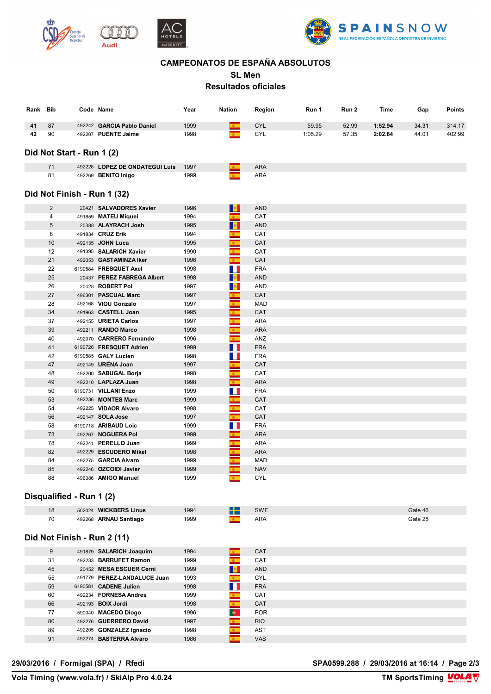





### **CAMPEONATOS DE ESPAÑA ABSOLUTOS**

**SL Men**

### **Resultados oficiales**

| Rank | Bib | Name<br>Code                  | Year | Nation | Region     | Run 1   | Run 2 | Time    | Gap   | <b>Points</b> |
|------|-----|-------------------------------|------|--------|------------|---------|-------|---------|-------|---------------|
| 41   | 87  | 492242 GARCIA Pablo Daniel    | 1999 |        | <b>CYL</b> | 59.95   | 52.99 | 1:52.94 | 34.31 | 314,17        |
| 42   | 90  | <b>PUENTE Jaime</b><br>492207 | 1998 |        | <b>CYL</b> | 1:05.29 | 57.35 | 2:02.64 | 44.01 | 402,99        |

### **Did Not Start - Run 1 (2)**

|                | 492228 LOPEZ DE ONDATEGUI Luis | 1997          | ARA |
|----------------|--------------------------------|---------------|-----|
| 0 <sub>4</sub> | <b>BENITO Inigo</b><br>492269  | 1999<br>$  -$ | ARA |

#### **COURSE Tres Hombres Tres Hombres START 1965 m 1965 m Did Not Finish - Run 1 (32)**

| 2  | 20421 SALVADORES Xavier    | 1996 | $-25$                      | <b>AND</b> |
|----|----------------------------|------|----------------------------|------------|
| 4  | 491859 MATEU Miquel        | 1994 | $\mathbf{g}$ .             | CAT        |
| 5  | 20388 ALAYRACH Josh        | 1995 | <b>RE</b>                  | <b>AND</b> |
| 8  | 491834 CRUZ Erik           | 1994 | $\mathbf{c}$               | CAT        |
| 10 | 492135 JOHN Luca           | 1995 | $\mathbf{a}$               | CAT        |
| 12 | 491395 SALARICH Xavier     | 1990 | $\mathbf{c}$               | CAT        |
| 21 | 492053 GASTAMINZA Iker     | 1996 | $\mathbf{z}$               | <b>CAT</b> |
| 22 | 6190584 FRESQUET Axel      | 1998 | Ш                          | <b>FRA</b> |
| 25 | 20437 PEREZ FABREGA Albert | 1998 |                            | <b>AND</b> |
| 26 | 20428 ROBERT Pol           | 1997 |                            | <b>AND</b> |
| 27 | 496301 PASCUAL Marc        | 1997 | $\mathbf{g}_{\perp}$       | CAT        |
| 28 | 492168 VIOU Gonzalo        | 1997 | $\mathbf{z}_\perp$         | <b>MAD</b> |
| 34 | 491963 CASTELL Joan        | 1995 | $\mathbf{c}$               | <b>CAT</b> |
| 37 | 492155 URIETA Carlos       | 1997 | $\mathbf{c}$               | <b>ARA</b> |
| 39 | 492211 RANDO Marco         | 1998 | $\mathbf{c}$               | <b>ARA</b> |
| 40 | 492070 CARRERO Fernando    | 1996 | $\mathbf{g}$               | ANZ        |
| 41 | 6190726 FRESQUET Adrien    | 1999 | M.                         | <b>FRA</b> |
| 42 | 6190585 GALY Lucien        | 1998 | M.                         | <b>FRA</b> |
| 47 | 492149 URENA Joan          | 1997 | $\mathbf{g}$               | <b>CAT</b> |
| 48 | 492200 SABUGAL Borja       | 1998 | $\mathbf{c}$               | CAT        |
| 49 | 492210 LAPLAZA Juan        | 1998 | $\mathbf{g}$               | <b>ARA</b> |
| 50 | 6190731 VILLANI Enzo       | 1999 | Ш                          | <b>FRA</b> |
| 53 | 492236 MONTES Marc         | 1999 | $\mathbf{z}$               | CAT        |
| 54 | 492225 VIDAOR Alvaro       | 1998 | $\mathbf{g}$ .             | CAT        |
| 56 | 492147 SOLA Jose           | 1997 | $\mathbf{A}$               | <b>CAT</b> |
| 58 | 6190718 ARIBAUD Loic       | 1999 | ш                          | <b>FRA</b> |
| 73 | 492267 NOGUERA Pol         | 1999 | $\mathbf{c}$               | <b>ARA</b> |
| 78 | 492241 PERELLO Juan        | 1999 | $\mathbf{E}$ .             | <b>ARA</b> |
| 82 | 492229 ESCUDERO Mikel      | 1998 | $\mathbf{c}$               | <b>ARA</b> |
| 84 | 492275 GARCIA Alvaro       | 1999 | $\mathbf{c}$               | <b>MAD</b> |
| 85 | 492246 OZCOIDI Javier      | 1999 | $\mathbf{g}_{\mathrm{in}}$ | <b>NAV</b> |
| 88 | 496386 AMIGO Manuel        | 1999 | $\mathbf{K}$ .             | <b>CYL</b> |
|    |                            |      |                            |            |

### **Disqualified - Run 1 (2)**

| 1 O<br>1ŏ | <b>WICKBERS Linus</b><br>502024 | 994  | <b>SWE</b> |                       |
|-----------|---------------------------------|------|------------|-----------------------|
| 70        | <b>ARNAU Santiago</b><br>492268 | 1999 | AR/        | `~+.<br>$\sim$ $\sim$ |

### **Did Not Finish - Run 2 (11)**

| 9  | 491879 SALARICH Joaquim     | 1994 |           | <b>CAT</b> |
|----|-----------------------------|------|-----------|------------|
| 31 | 492233 BARRUFET Ramon       | 1999 |           | CAT        |
| 45 | 20452 MESA ESCUER Cerni     | 1999 |           | <b>AND</b> |
| 55 | 491779 PEREZ-LANDALUCE Juan | 1993 |           | <b>CYL</b> |
| 59 | 6190581 CADENE Julien       | 1998 |           | <b>FRA</b> |
| 60 | 492234 FORNESA Andres       | 1999 |           | CAT        |
| 66 | 492193 <b>BOIX Jordi</b>    | 1998 |           | <b>CAT</b> |
| 77 | 590040 MACEDO Diogo         | 1996 | $\bullet$ | <b>POR</b> |
| 80 | 492276 GUERRERO David       | 1997 |           | <b>RIO</b> |
| 89 | 492205 GONZALEZ Ignacio     | 1998 | <b>B</b>  | <b>AST</b> |
| 91 | 492274 BASTERRA Alvaro      | 1986 |           | <b>VAS</b> |